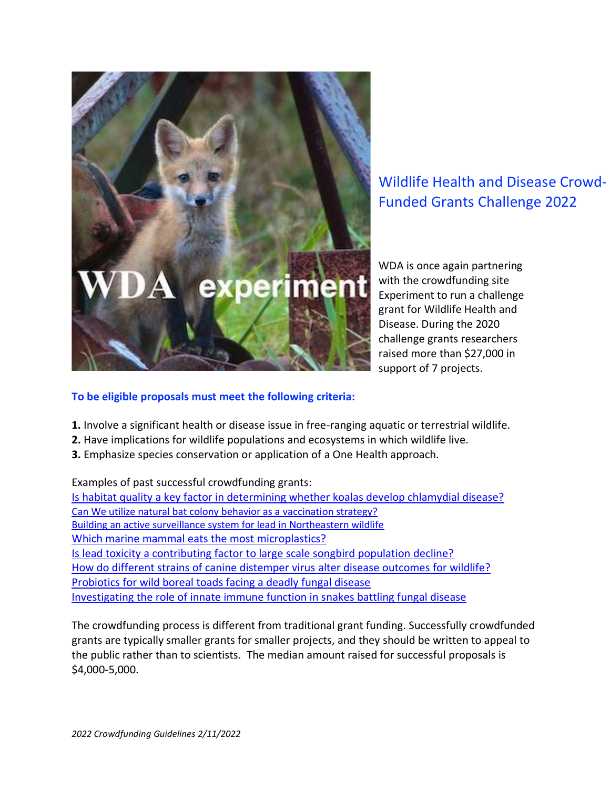

Wildlife Health and Disease Crowd-Funded Grants Challenge 2022

WDA is once again partnering with the crowdfunding site Experiment to run a challenge grant for Wildlife Health and Disease. During the 2020 challenge grants researchers raised more than \$27,000 in support of 7 projects.

## **To be eligible proposals must meet the following criteria:**

- **1.** Involve a significant health or disease issue in free-ranging aquatic or terrestrial wildlife.
- **2.** Have implications for wildlife populations and ecosystems in which wildlife live.
- **3.** Emphasize species conservation or application of a One Health approach.

Examples of past successful crowdfunding grants: [Is habitat quality a key factor in determining whether koalas develop chlamydial disease?](https://experiment.com/projects/is-habitat-quality-a-key-factor-in-determining-whether-koalas-develop-chlamydial-disease-in-south-east-queensland) [Can We utilize natural bat colony behavior as a vaccination strategy?](https://experiment.com/projects/can-we-utilize-natural-bat-colony-behavior-as-a-vaccination-strategy) [Building an active surveillance system for lead in Northeastern wildlife](https://experiment.com/projects/building-an-active-surveillance-system-for-heavy-metals-in-northeastern-wildlife) [Which marine mammal eats the most microplastics?](https://experiment.com/projects/which-marine-mammal-eats-the-most-microplastics) [Is lead toxicity a contributing factor to large scale songbird population decline?](https://experiment.com/projects/is-lead-toxicity-a-contributing-factor-to-large-scale-songbird-population-decline) [How do different strains of canine distemper virus alter disease outcomes for wildlife?](https://experiment.com/projects/how-do-different-strains-of-canine-distemper-virus-alter-disease-outcomes-for-wildlife) [Probiotics for wild boreal toads facing a deadly fungal disease](https://experiment.com/projects/probiotics-for-wild-boreal-toads-facing-a-deadly-fungal-disease) [Investigating the role of innate immune function in snakes battling fungal disease](https://experiment.com/projects/investigating-the-role-of-innate-immune-function-in-snakes-battling-fungal-disease)

The crowdfunding process is different from traditional grant funding. Successfully crowdfunded grants are typically smaller grants for smaller projects, and they should be written to appeal to the public rather than to scientists. The median amount raised for successful proposals is \$4,000-5,000.